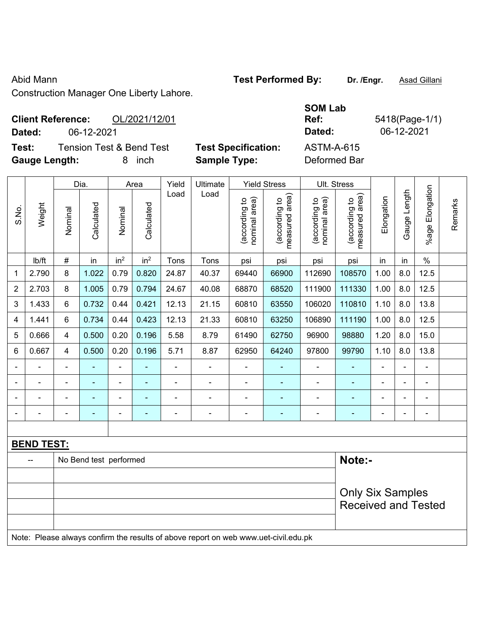## Abid Mann **Test Performed By:** Dr. /Engr. **Asad Gillani**

Construction Manager One Liberty Lahore.

### **Client Reference:** OL/2021/12/01 **Dated:** 06-12-2021 **Dated:** 06-12-2021

**Test:** Tension Test & Bend Test **Test Specification: Gauge Length:** 8 inch **Sample Type:** Deformed Bar

| <b>SOM Lab</b>    |                |
|-------------------|----------------|
| Ref:              | 5418(Page-1/1) |
| Dated:            | 06-12-2021     |
| <b>ASTM-A-615</b> |                |

|       |                   |                | Dia.                   |                 | Area                     | Yield         | Ultimate                                                                            |                                | <b>Yield Stress</b>             |                                | Ult. Stress                     |                |              |                    |         |
|-------|-------------------|----------------|------------------------|-----------------|--------------------------|---------------|-------------------------------------------------------------------------------------|--------------------------------|---------------------------------|--------------------------------|---------------------------------|----------------|--------------|--------------------|---------|
| S.No. | Weight            | Nominal        | Calculated             | Nominal         | Calculated               | Load          | Load                                                                                | nominal area)<br>(according to | (according to<br>measured area) | nominal area)<br>(according to | measured area)<br>(according to | Elongation     | Gauge Length | Elongation<br>%age | Remarks |
|       | lb/ft             | #              | in                     | in <sup>2</sup> | in <sup>2</sup>          | Tons          | Tons                                                                                | psi                            | psi                             | psi                            | psi                             | in             | in           | $\%$               |         |
| 1     | 2.790             | 8              | 1.022                  | 0.79            | 0.820                    | 24.87         | 40.37                                                                               | 69440                          | 66900                           | 112690                         | 108570                          | 1.00           | 8.0          | 12.5               |         |
| 2     | 2.703             | 8              | 1.005                  | 0.79            | 0.794                    | 24.67         | 40.08                                                                               | 68870                          | 68520                           | 111900                         | 111330                          | 1.00           | 8.0          | 12.5               |         |
| 3     | 1.433             | 6              | 0.732                  | 0.44            | 0.421                    | 12.13         | 21.15                                                                               | 60810                          | 63550                           | 106020                         | 110810                          | 1.10           | 8.0          | 13.8               |         |
| 4     | 1.441             | 6              | 0.734                  | 0.44            | 0.423                    | 12.13         | 21.33                                                                               | 60810                          | 63250                           | 106890                         | 111190                          | 1.00           | 8.0          | 12.5               |         |
| 5     | 0.666             | 4              | 0.500                  | 0.20            | 0.196                    | 5.58          | 8.79                                                                                | 61490                          | 62750                           | 96900                          | 98880                           | 1.20           | 8.0          | 15.0               |         |
| 6     | 0.667             | 4              | 0.500                  | 0.20            | 0.196                    | 5.71          | 8.87                                                                                | 62950                          | 64240                           | 97800                          | 99790                           | 1.10           | 8.0          | 13.8               |         |
|       |                   | $\blacksquare$ | $\blacksquare$         | $\blacksquare$  |                          | $\frac{1}{2}$ | $\frac{1}{2}$                                                                       | $\blacksquare$                 | $\blacksquare$                  | $\overline{\phantom{a}}$       | $\blacksquare$                  | $\blacksquare$ |              | $\blacksquare$     |         |
|       |                   | $\overline{a}$ | ÷,                     | $\blacksquare$  | $\overline{\phantom{a}}$ | ÷.            | ä,                                                                                  | $\blacksquare$                 | ä,                              | $\blacksquare$                 | ÷                               | $\blacksquare$ |              | $\blacksquare$     |         |
|       |                   | $\blacksquare$ | ÷                      | $\blacksquare$  |                          | ÷             | ä,                                                                                  | $\blacksquare$                 |                                 | $\blacksquare$                 | $\blacksquare$                  | $\blacksquare$ |              | ä,                 |         |
|       |                   |                |                        | $\blacksquare$  |                          |               | ÷                                                                                   | $\blacksquare$                 |                                 |                                |                                 |                |              | $\blacksquare$     |         |
|       |                   |                |                        |                 |                          |               |                                                                                     |                                |                                 |                                |                                 |                |              |                    |         |
|       | <b>BEND TEST:</b> |                |                        |                 |                          |               |                                                                                     |                                |                                 |                                |                                 |                |              |                    |         |
|       |                   |                | No Bend test performed |                 |                          |               |                                                                                     |                                |                                 |                                | Note:-                          |                |              |                    |         |
|       |                   |                |                        |                 |                          |               |                                                                                     |                                |                                 |                                |                                 |                |              |                    |         |
|       |                   |                |                        |                 |                          |               |                                                                                     |                                |                                 |                                | <b>Only Six Samples</b>         |                |              |                    |         |
|       |                   |                |                        |                 |                          |               |                                                                                     |                                |                                 |                                | <b>Received and Tested</b>      |                |              |                    |         |
|       |                   |                |                        |                 |                          |               |                                                                                     |                                |                                 |                                |                                 |                |              |                    |         |
|       |                   |                |                        |                 |                          |               | Note: Please always confirm the results of above report on web www.uet-civil.edu.pk |                                |                                 |                                |                                 |                |              |                    |         |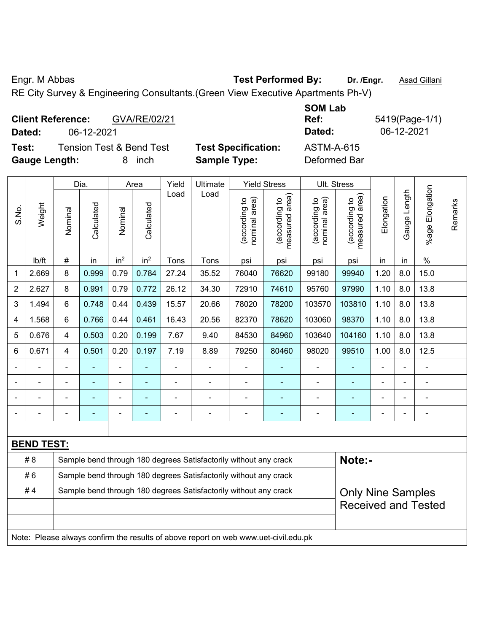Engr. M Abbas **Test Performed By:** Dr. /Engr. **Asad Gillani** 

RE City Survey & Engineering Consultants.(Green View Executive Apartments Ph-V)

| <b>Client Reference:</b><br>GVA/RE/02/21<br>06-12-2021<br>Dated:                  |                                                   | <b>SOM Lab</b><br>Ref:<br>Dated:  | 5419(Page-1/1)<br>06-12-2021 |
|-----------------------------------------------------------------------------------|---------------------------------------------------|-----------------------------------|------------------------------|
| <b>Tension Test &amp; Bend Test</b><br>Test:<br><b>Gauge Length:</b><br>inch<br>8 | <b>Test Specification:</b><br><b>Sample Type:</b> | <b>ASTM-A-615</b><br>Deformed Bar |                              |

|                |                   |                | Dia.                                                                                         |                                                                                  | Area            | Yield          | Ultimate                                                                            |                                | Ult. Stress                                 |                                |                                             |            |              |                       |         |
|----------------|-------------------|----------------|----------------------------------------------------------------------------------------------|----------------------------------------------------------------------------------|-----------------|----------------|-------------------------------------------------------------------------------------|--------------------------------|---------------------------------------------|--------------------------------|---------------------------------------------|------------|--------------|-----------------------|---------|
| S.No.          | Weight            | Nominal        | Calculated                                                                                   | Nominal                                                                          | Calculated      | Load           | Load                                                                                | nominal area)<br>(according to | (according to<br>measured area)<br>measured | nominal area)<br>(according to | (according to<br>measured area)<br>measured | Elongation | Gauge Length | Elongation<br>$%$ age | Remarks |
|                | Ib/ft             | #              | in                                                                                           | in <sup>2</sup>                                                                  | in <sup>2</sup> | Tons           | Tons                                                                                | psi                            | psi                                         | psi                            | psi                                         | in         | in           | $\%$                  |         |
| 1              | 2.669             | 8              | 0.999                                                                                        | 0.79                                                                             | 0.784           | 27.24          | 35.52                                                                               | 76040                          | 76620                                       | 99180                          | 99940                                       | 1.20       | 8.0          | 15.0                  |         |
| $\overline{2}$ | 2.627             | 8              | 0.991                                                                                        | 0.79                                                                             | 0.772           | 26.12          | 34.30                                                                               | 72910                          | 74610                                       | 95760                          | 97990                                       | 1.10       | 8.0          | 13.8                  |         |
| 3              | 1.494             | 6              | 0.748                                                                                        | 0.44                                                                             | 0.439           | 15.57          | 20.66                                                                               | 78020                          | 78200                                       | 103570                         | 103810                                      | 1.10       | 8.0          | 13.8                  |         |
| 4              | 1.568             | $6\phantom{1}$ | 0.766                                                                                        | 0.44                                                                             | 0.461           | 16.43          | 20.56                                                                               | 82370                          | 78620                                       | 103060                         | 98370                                       | 1.10       | 8.0          | 13.8                  |         |
| 5              | 0.676             | $\overline{4}$ | 0.503                                                                                        | 0.20                                                                             | 0.199           | 7.67           | 9.40                                                                                | 84530                          | 84960                                       | 103640                         | 104160                                      | 1.10       | 8.0          | 13.8                  |         |
| 6              | 0.671             | $\overline{4}$ | 0.501                                                                                        | 7.19<br>1.00<br>8.0<br>0.20<br>0.197<br>8.89<br>79250<br>80460<br>98020<br>99510 |                 |                |                                                                                     |                                |                                             |                                |                                             |            |              | 12.5                  |         |
|                |                   |                |                                                                                              |                                                                                  |                 |                | $\overline{\phantom{0}}$                                                            |                                |                                             |                                |                                             |            |              |                       |         |
|                |                   |                |                                                                                              | ۰                                                                                |                 |                |                                                                                     | $\blacksquare$                 |                                             |                                |                                             |            |              |                       |         |
|                |                   |                | ۰                                                                                            | ÷                                                                                |                 |                | $\blacksquare$                                                                      |                                |                                             |                                |                                             |            |              | $\blacksquare$        |         |
|                |                   |                | $\overline{\phantom{0}}$                                                                     | ÷                                                                                |                 | $\blacksquare$ | $\blacksquare$                                                                      |                                | ۰                                           | $\blacksquare$                 | $\blacksquare$                              |            |              | $\blacksquare$        |         |
|                |                   |                |                                                                                              |                                                                                  |                 |                |                                                                                     |                                |                                             |                                |                                             |            |              |                       |         |
|                | <b>BEND TEST:</b> |                |                                                                                              |                                                                                  |                 |                |                                                                                     |                                |                                             |                                |                                             |            |              |                       |         |
|                | #8                |                |                                                                                              |                                                                                  |                 |                | Sample bend through 180 degrees Satisfactorily without any crack                    |                                |                                             |                                | Note:-                                      |            |              |                       |         |
|                | #6                |                |                                                                                              |                                                                                  |                 |                | Sample bend through 180 degrees Satisfactorily without any crack                    |                                |                                             |                                |                                             |            |              |                       |         |
|                | #4                |                | Sample bend through 180 degrees Satisfactorily without any crack<br><b>Only Nine Samples</b> |                                                                                  |                 |                |                                                                                     |                                |                                             |                                |                                             |            |              |                       |         |
|                |                   |                |                                                                                              |                                                                                  |                 |                |                                                                                     |                                |                                             |                                | <b>Received and Tested</b>                  |            |              |                       |         |
|                |                   |                |                                                                                              |                                                                                  |                 |                |                                                                                     |                                |                                             |                                |                                             |            |              |                       |         |
|                |                   |                |                                                                                              |                                                                                  |                 |                | Note: Please always confirm the results of above report on web www.uet-civil.edu.pk |                                |                                             |                                |                                             |            |              |                       |         |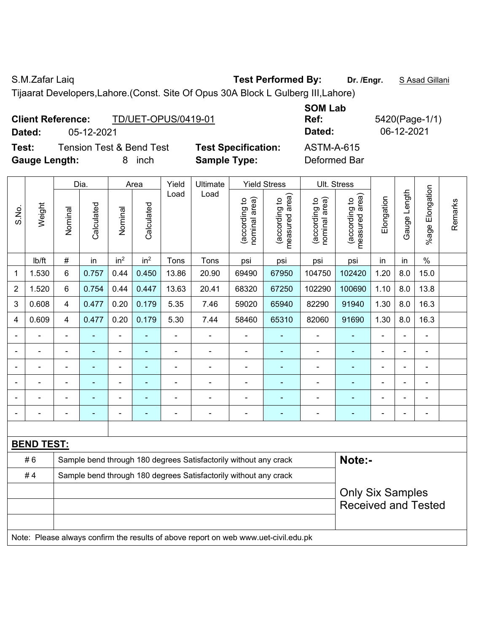S.M.Zafar Laiq **Test Performed By:** Dr. /Engr. **SAsad Gillani** 

Tijaarat Developers,Lahore.(Const. Site Of Opus 30A Block L Gulberg III,Lahore)

| <b>Client Reference:</b> |            | <b>TD/UET-OPUS/0419-01</b> |
|--------------------------|------------|----------------------------|
| Dated:                   | 05-12-2021 |                            |

**Test:** Tension Test & Bend Test **Test Specification:** ASTM-A-615 **Gauge Length:** 8 inch **Sample Type:** Deformed Bar

**SOM Lab Ref:** 5420(Page-1/1) **Dated:** 05-12-2021 **Dated:** 06-12-2021

|                |                   |                          | Dia.           |                 | Area                    | Yield                                                            | Ultimate                                                                            |                                | Ult. Stress                     |                                |                                             |                |              |                          |         |
|----------------|-------------------|--------------------------|----------------|-----------------|-------------------------|------------------------------------------------------------------|-------------------------------------------------------------------------------------|--------------------------------|---------------------------------|--------------------------------|---------------------------------------------|----------------|--------------|--------------------------|---------|
| S.No.          | Weight            | Nominal                  | Calculated     | Nominal         | Calculated              | Load                                                             | Load                                                                                | nominal area)<br>(according to | (according to<br>measured area) | nominal area)<br>(according to | (according to<br>neasured area)<br>measured | Elongation     | Gauge Length | Elongation<br>$%$ age    | Remarks |
|                | lb/ft             | #                        | in             | in <sup>2</sup> | in <sup>2</sup>         | Tons                                                             | Tons                                                                                | psi                            | psi                             | psi                            | psi                                         | in             | in           | $\%$                     |         |
| 1              | 1.530             | 6                        | 0.757          | 0.44            | 0.450                   | 13.86                                                            | 20.90                                                                               | 69490                          | 67950                           | 104750                         | 102420                                      | 1.20           | 8.0          | 15.0                     |         |
| 2              | 1.520             | 6                        | 0.754          | 0.44            | 0.447                   | 13.63                                                            | 20.41                                                                               | 68320                          | 67250                           | 102290                         | 100690                                      | 1.10           | 8.0          | 13.8                     |         |
| 3              | 0.608             | 4                        | 0.477          | 0.20            | 0.179                   | 5.35                                                             | 7.46                                                                                | 59020                          | 65940                           | 82290                          | 91940                                       | 1.30           | 8.0          | 16.3                     |         |
| 4              | 0.609             | 4                        | 0.477          | 0.20            | 0.179                   | 5.30                                                             | 7.44                                                                                | 58460                          | 65310                           | 82060                          | 91690                                       | 1.30           | 8.0          | 16.3                     |         |
|                |                   | $\blacksquare$           |                | L.              |                         |                                                                  | ä,                                                                                  | ä,                             |                                 | $\blacksquare$                 |                                             |                |              | L,                       |         |
|                |                   |                          | ٠              | $\blacksquare$  |                         |                                                                  | $\blacksquare$                                                                      |                                |                                 |                                |                                             |                |              |                          |         |
| $\blacksquare$ |                   | $\overline{\phantom{a}}$ |                | $\blacksquare$  |                         | $\blacksquare$                                                   | $\blacksquare$                                                                      | $\blacksquare$                 | $\blacksquare$                  | $\overline{\phantom{a}}$       | $\blacksquare$                              | $\blacksquare$ |              | $\blacksquare$           |         |
| $\blacksquare$ |                   | ÷                        | Ē,             | $\blacksquare$  | ۰                       | $\blacksquare$                                                   | $\blacksquare$                                                                      | $\overline{\phantom{a}}$       | ۰                               | ä,                             | ÷                                           | $\blacksquare$ |              | $\overline{\phantom{a}}$ |         |
| $\blacksquare$ |                   | ä,                       | $\blacksquare$ | ÷,              | ÷                       | $\blacksquare$                                                   | $\overline{a}$                                                                      | $\blacksquare$                 | ۰                               | $\blacksquare$                 | ÷                                           |                |              | $\blacksquare$           |         |
|                |                   | ä,                       | $\blacksquare$ | $\blacksquare$  | $\blacksquare$          | $\blacksquare$                                                   | $\overline{\phantom{a}}$                                                            |                                | ۰                               | $\blacksquare$                 | $\blacksquare$                              | $\blacksquare$ |              | $\blacksquare$           |         |
|                |                   |                          |                |                 |                         |                                                                  |                                                                                     |                                |                                 |                                |                                             |                |              |                          |         |
|                | <b>BEND TEST:</b> |                          |                |                 |                         |                                                                  |                                                                                     |                                |                                 |                                |                                             |                |              |                          |         |
|                | #6                |                          |                |                 |                         |                                                                  | Sample bend through 180 degrees Satisfactorily without any crack                    |                                |                                 |                                | Note:-                                      |                |              |                          |         |
|                | #4                |                          |                |                 |                         | Sample bend through 180 degrees Satisfactorily without any crack |                                                                                     |                                |                                 |                                |                                             |                |              |                          |         |
|                |                   |                          |                |                 | <b>Only Six Samples</b> |                                                                  |                                                                                     |                                |                                 |                                |                                             |                |              |                          |         |
|                |                   |                          |                |                 |                         |                                                                  |                                                                                     |                                |                                 |                                | <b>Received and Tested</b>                  |                |              |                          |         |
|                |                   |                          |                |                 |                         |                                                                  |                                                                                     |                                |                                 |                                |                                             |                |              |                          |         |
|                |                   |                          |                |                 |                         |                                                                  | Note: Please always confirm the results of above report on web www.uet-civil.edu.pk |                                |                                 |                                |                                             |                |              |                          |         |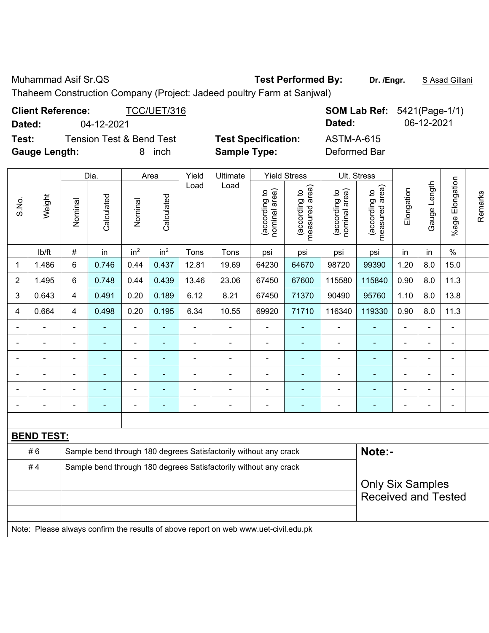Muhammad Asif Sr.QS **Test Performed By:** Dr. /Engr. **SAsad Gillani** 

Thaheem Construction Company (Project: Jadeed poultry Farm at Sanjwal)

| <b>Client Reference:</b> |                          | TCC/UET/316 |                            |              | <b>SOM Lab Ref:</b> 5421(Page-1/1) |
|--------------------------|--------------------------|-------------|----------------------------|--------------|------------------------------------|
| Dated:                   | 04-12-2021               |             |                            | Dated:       | 06-12-2021                         |
| Test:                    | Tension Test & Bend Test |             | <b>Test Specification:</b> | ASTM-A-615   |                                    |
| <b>Gauge Length:</b>     |                          | inch<br>8.  | <b>Sample Type:</b>        | Deformed Bar |                                    |

|                |                          |                | Dia.       |                          | Area            | Yield          | Ultimate |                                | <b>Yield Stress</b>                |                                  | Ult. Stress                        |            |                          |                          |         |
|----------------|--------------------------|----------------|------------|--------------------------|-----------------|----------------|----------|--------------------------------|------------------------------------|----------------------------------|------------------------------------|------------|--------------------------|--------------------------|---------|
| S.No.          | Weight                   | Nominal        | Calculated | Nominal                  | Calculated      | Load           | Load     | nominal area)<br>(according to | area)<br>(according to<br>measured | nominal area)<br>익<br>(according | area)<br>(according to<br>measured | Elongation | ength<br>┙<br>Gauge      | Elongation<br>$%$ age    | Remarks |
|                | lb/ft                    | $\#$           | in         | in <sup>2</sup>          | in <sup>2</sup> | Tons           | Tons     | psi                            | psi                                | psi                              | psi                                | in         | in                       | $\%$                     |         |
| 1              | 1.486                    | $6\phantom{1}$ | 0.746      | 0.44                     | 0.437           | 12.81          | 19.69    | 64230                          | 64670                              | 98720                            | 99390                              | 1.20       | 8.0                      | 15.0                     |         |
| $\overline{2}$ | 1.495                    | 6              | 0.748      | 0.44                     | 0.439           | 13.46          | 23.06    | 67450                          | 67600                              | 115580                           | 115840                             | 0.90       | 8.0                      | 11.3                     |         |
| 3              | 0.643                    | 4              | 0.491      | 0.20                     | 0.189           | 6.12           | 8.21     | 67450                          | 71370                              | 90490                            | 95760                              | 1.10       | 8.0                      | 13.8                     |         |
| 4              | 0.664                    | 4              | 0.498      | 0.20                     | 0.195           | 6.34           | 10.55    | 69920                          | 71710                              | 116340                           | 119330                             | 0.90       | 8.0                      | 11.3                     |         |
|                |                          | $\blacksquare$ |            | $\overline{\phantom{0}}$ |                 | $\blacksquare$ |          | $\blacksquare$                 | ۰                                  | $\overline{\phantom{0}}$         | $\overline{\phantom{0}}$           | ۰          | $\overline{\phantom{0}}$ | $\overline{\phantom{0}}$ |         |
| -              | $\overline{\phantom{0}}$ | -              |            |                          |                 | $\blacksquare$ |          | $\blacksquare$                 |                                    | $\overline{\phantom{a}}$         | ٠                                  | -          | $\overline{\phantom{0}}$ | $\blacksquare$           |         |
| $\blacksquare$ |                          | -              |            |                          |                 | $\blacksquare$ |          | $\blacksquare$                 |                                    | $\blacksquare$                   | ٠                                  | ۰          | ۰                        | $\blacksquare$           |         |
|                |                          |                |            |                          |                 |                |          | $\blacksquare$                 |                                    |                                  |                                    | -          |                          | $\overline{\phantom{0}}$ |         |
|                |                          |                |            |                          |                 |                |          |                                |                                    |                                  |                                    |            |                          | -                        |         |
|                |                          |                |            |                          |                 |                |          |                                |                                    |                                  |                                    | -          |                          | $\overline{\phantom{0}}$ |         |

| <b>BEND TEST:</b> |                                                                                     |                            |  |  |  |  |  |  |  |  |  |  |
|-------------------|-------------------------------------------------------------------------------------|----------------------------|--|--|--|--|--|--|--|--|--|--|
| # 6               | Sample bend through 180 degrees Satisfactorily without any crack                    | Note:-                     |  |  |  |  |  |  |  |  |  |  |
| #4                | Sample bend through 180 degrees Satisfactorily without any crack                    |                            |  |  |  |  |  |  |  |  |  |  |
|                   |                                                                                     | <b>Only Six Samples</b>    |  |  |  |  |  |  |  |  |  |  |
|                   |                                                                                     | <b>Received and Tested</b> |  |  |  |  |  |  |  |  |  |  |
|                   |                                                                                     |                            |  |  |  |  |  |  |  |  |  |  |
|                   | Note: Please always confirm the results of above report on web www.uet-civil.edu.pk |                            |  |  |  |  |  |  |  |  |  |  |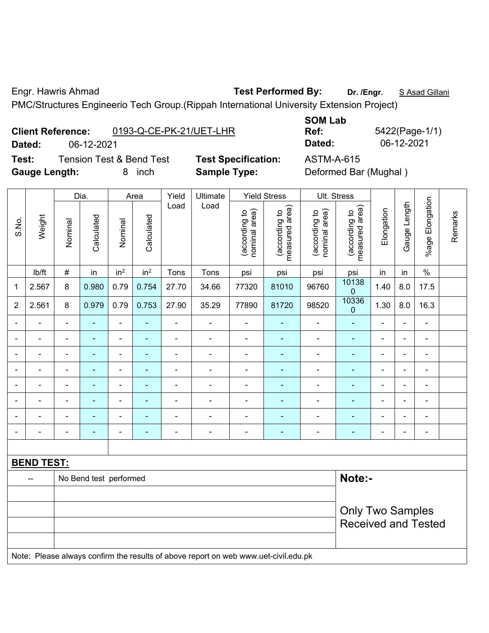### Engr. Hawris Ahmad **Test Performed By: Dr. /Engr.** S Asad Gillani

PMC/Structures Engineerio Tech Group.(Rippah International University Extension Project)

|                             | <b>Client Reference:</b> | 0193-Q-CE-PK-21/UET-LHR             |                        |
|-----------------------------|--------------------------|-------------------------------------|------------------------|
| Dated:                      | 06-12-2021               |                                     |                        |
| Test:                       |                          | <b>Tension Test &amp; Bend Test</b> | <b>Test Specificat</b> |
| $\sim$ $\sim$ $\sim$ $\sim$ |                          | .                                   | _______                |

**SOM Lab Ref:** 5422(Page-1/1) **Dated:** 06-12-2021 **Dated:** 06-12-2021

**Test:** Test ASTM-A-615 **Gauge Length:** 8 inch **Sample Type:** Deformed Bar (Mughal )

|                          |                          |                                                                                     | Dia.                                                  |                              | Area            | Yield          | Ultimate                 |                                | <b>Yield Stress</b>             |                                | Ult. Stress                     |                |                          |                 |         |
|--------------------------|--------------------------|-------------------------------------------------------------------------------------|-------------------------------------------------------|------------------------------|-----------------|----------------|--------------------------|--------------------------------|---------------------------------|--------------------------------|---------------------------------|----------------|--------------------------|-----------------|---------|
| S.No.                    | Weight                   | Nominal                                                                             | Calculated                                            | Nominal                      | Calculated      | Load           | Load                     | nominal area)<br>(according to | (according to<br>measured area) | (according to<br>nominal area) | (according to<br>measured area) | Elongation     | Gauge Length             | %age Elongation | Remarks |
|                          | Ib/ft                    | $\#$                                                                                | in                                                    | in <sup>2</sup>              | in <sup>2</sup> | Tons           | Tons                     | psi                            | psi                             | psi                            | psi                             | in             | in                       | $\%$            |         |
| 1                        | 2.567                    | 8                                                                                   | 0.980                                                 | 0.79                         | 0.754           | 27.70          | 34.66                    | 77320                          | 81010                           | 96760                          | 10138<br>$\boldsymbol{0}$       | 1.40           | 8.0                      | 17.5            |         |
| $\overline{2}$           | 2.561                    | 8                                                                                   | 0.979                                                 | 0.79                         | 0.753           | 27.90          | 35.29                    | 77890                          | 81720                           | 98520                          | 10336<br>0                      | 1.30           | 8.0                      | 16.3            |         |
|                          | $\blacksquare$           | $\blacksquare$                                                                      | ٠                                                     | $\blacksquare$               |                 | $\overline{a}$ | $\blacksquare$           | ä,                             | $\blacksquare$                  | ä,                             | $\blacksquare$                  |                |                          | ä,              |         |
|                          |                          |                                                                                     |                                                       | ۰                            |                 |                |                          | $\blacksquare$                 |                                 | $\blacksquare$                 | $\blacksquare$                  |                |                          | $\blacksquare$  |         |
|                          |                          |                                                                                     | $\overline{a}$                                        | $\blacksquare$               |                 |                | $\blacksquare$           | $\blacksquare$                 |                                 | $\blacksquare$                 | $\blacksquare$                  |                |                          | L,              |         |
|                          | $\overline{\phantom{0}}$ | $\blacksquare$                                                                      | $\blacksquare$                                        | ۰                            | $\blacksquare$  | $\blacksquare$ | $\blacksquare$           | $\blacksquare$                 | $\blacksquare$                  | $\blacksquare$                 | ۰                               | $\blacksquare$ | $\overline{\phantom{0}}$ | $\blacksquare$  |         |
| $\overline{\phantom{a}}$ | L.                       | $\overline{\phantom{a}}$                                                            | ٠                                                     | $\qquad \qquad \blacksquare$ | ۰               | $\blacksquare$ | $\overline{\phantom{a}}$ | $\blacksquare$                 | ۰                               | ÷                              | ۰                               | $\blacksquare$ | $\overline{a}$           | $\blacksquare$  |         |
| $\blacksquare$           | $\blacksquare$           | $\blacksquare$                                                                      | ۰                                                     | $\overline{\phantom{0}}$     | ۰               | $\blacksquare$ | $\blacksquare$           | $\blacksquare$                 | $\blacksquare$                  | ۰                              | ۰                               | $\blacksquare$ | $\blacksquare$           | $\blacksquare$  |         |
|                          | ÷                        | $\blacksquare$                                                                      | $\blacksquare$                                        | $\overline{\phantom{0}}$     |                 | $\blacksquare$ | $\blacksquare$           | $\blacksquare$                 | ٠                               | ÷                              | $\blacksquare$                  | $\blacksquare$ | $\overline{a}$           | $\blacksquare$  |         |
| $\blacksquare$           | ä,                       | $\blacksquare$                                                                      | $\blacksquare$                                        | $\overline{\phantom{0}}$     | ۰               | $\blacksquare$ | $\blacksquare$           | $\blacksquare$                 | $\blacksquare$                  | $\overline{\phantom{a}}$       | $\blacksquare$                  | $\blacksquare$ | $\blacksquare$           | $\blacksquare$  |         |
|                          |                          |                                                                                     |                                                       |                              |                 |                |                          |                                |                                 |                                |                                 |                |                          |                 |         |
|                          | <b>BEND TEST:</b>        |                                                                                     |                                                       |                              |                 |                |                          |                                |                                 |                                |                                 |                |                          |                 |         |
|                          | $\overline{a}$           |                                                                                     | No Bend test performed                                |                              |                 |                |                          |                                |                                 |                                | Note:-                          |                |                          |                 |         |
|                          |                          |                                                                                     |                                                       |                              |                 |                |                          |                                |                                 |                                |                                 |                |                          |                 |         |
|                          |                          |                                                                                     | <b>Only Two Samples</b><br><b>Received and Tested</b> |                              |                 |                |                          |                                |                                 |                                |                                 |                |                          |                 |         |
|                          |                          | Note: Please always confirm the results of above report on web www.uet-civil.edu.pk |                                                       |                              |                 |                |                          |                                |                                 |                                |                                 |                |                          |                 |         |